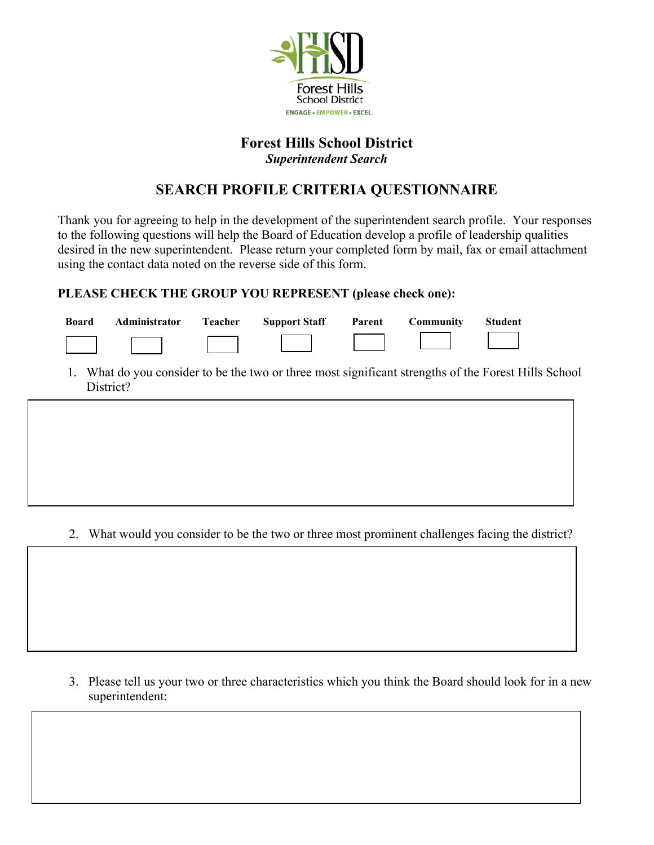

## **Forest Hills School District**

*Superintendent Search*

## **SEARCH PROFILE CRITERIA QUESTIONNAIRE**

Thank you for agreeing to help in the development of the superintendent search profile. Your responses to the following questions will help the Board of Education develop a profile of leadership qualities desired in the new superintendent. Please return your completed form by mail, fax or email attachment using the contact data noted on the reverse side of this form.

## **PLEASE CHECK THE GROUP YOU REPRESENT (please check one):**

| <b>Board</b> | Administrator Teacher | <b>Support Staff</b> Parent | Community | <b>Student</b> |
|--------------|-----------------------|-----------------------------|-----------|----------------|
|              |                       |                             |           |                |

1. What do you consider to be the two or three most significant strengths of the Forest Hills School District?

2. What would you consider to be the two or three most prominent challenges facing the district?

3. Please tell us your two or three characteristics which you think the Board should look for in a new superintendent: